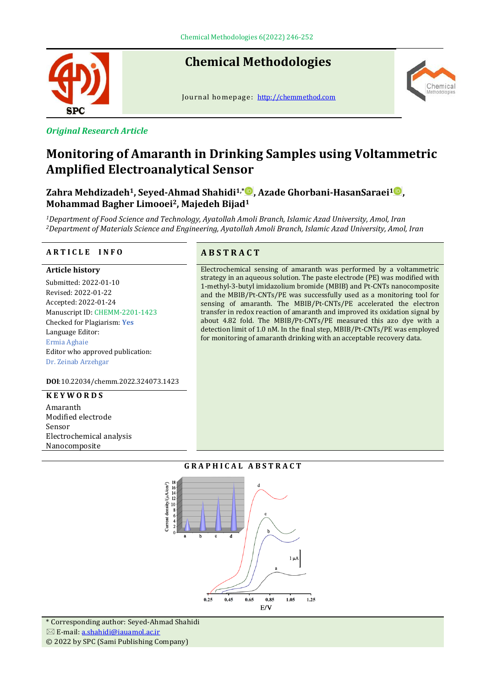

*Original Research Article*

# **Chemical Methodologies**

Journal homepage: [http://chemmethod.com](http://chemmethod.com/)



# **Monitoring of Amaranth in Drinking Samples using Voltammetric Amplified Electroanalytical Sensor**

**Zahra Mehdizadeh1, Seyed-Ahmad Shahidi1,\* , Azade Ghorbani-HasanSaraei<sup>1</sup> , Mohammad Bagher Limooei2, Majedeh Bijad<sup>1</sup>**

*<sup>1</sup>Department of Food Science and Technology, Ayatollah Amoli Branch, Islamic Azad University, Amol, Iran <sup>2</sup>Department of Materials Science and Engineering, Ayatollah Amoli Branch, Islamic Azad University, Amol, Iran*

#### **A R T I C L E I N F O A B S T R A C T**

#### **Article history**

Submitted: 2022-01-10 Revised: 2022-01-22 Accepted: 2022-01-24 Manuscript ID: CHEMM-2201-1423 Checked for Plagiarism: **Yes** Language Editor: Ermia Aghaie Editor who approved publication: Dr. Zeinab Arzehgar

#### **DOI**:10.22034/chemm.2022.324073.1423

#### **K E Y W O R D S**

Amaranth Modified electrode Sensor Electrochemical analysis Nanocomposite

Electrochemical sensing of amaranth was performed by a voltammetric strategy in an aqueous solution. The paste electrode (PE) was modified with 1-methyl-3-butyl imidazolium bromide (MBIB) and Pt-CNTs nanocomposite and the MBIB/Pt-CNTs/PE was successfully used as a monitoring tool for sensing of amaranth. The MBIB/Pt-CNTs/PE accelerated the electron transfer in redox reaction of amaranth and improved its oxidation signal by about 4.82 fold. The MBIB/Pt-CNTs/PE measured this azo dye with a detection limit of 1.0 nM. In the final step, MBIB/Pt-CNTs/PE was employed for monitoring of amaranth drinking with an acceptable recovery data.

#### **G R A P H I C A L A B S T R A C T**



\* Corresponding author: Seyed-Ahmad Shahidi  $\boxtimes$  E-mail[: a.shahidi@iauamol.ac.ir](mailto:a.shahidi@iauamol.ac.ir)

© 2022 by SPC (Sami Publishing Company)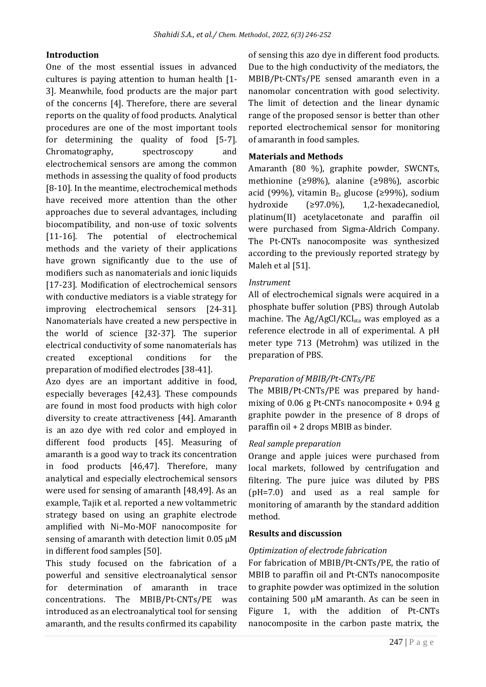# **Introduction**

One of the most essential issues in advanced cultures is paying attention to human health [1- 3]. Meanwhile, food products are the major part of the concerns [4]. Therefore, there are several reports on the quality of food products. Analytical procedures are one of the most important tools for determining the quality of food [5-7]. Chromatography, spectroscopy and electrochemical sensors are among the common methods in assessing the quality of food products [8-10]. In the meantime, electrochemical methods have received more attention than the other approaches due to several advantages, including biocompatibility, and non-use of toxic solvents [11-16]. The potential of electrochemical methods and the variety of their applications have grown significantly due to the use of modifiers such as nanomaterials and ionic liquids [17-23]. Modification of electrochemical sensors with conductive mediators is a viable strategy for improving electrochemical sensors [24-31]. Nanomaterials have created a new perspective in the world of science [32-37]. The superior electrical conductivity of some nanomaterials has created exceptional conditions for the preparation of modified electrodes [38-41].

Azo dyes are an important additive in food, especially beverages [42,43]. These compounds are found in most food products with high color diversity to create attractiveness [44]. Amaranth is an azo dye with red color and employed in different food products [45]. Measuring of amaranth is a good way to track its concentration in food products [46,47]. Therefore, many analytical and especially electrochemical sensors were used for sensing of amaranth [48,49]. As an example, Tajik et al. reported a new voltammetric strategy based on using an graphite electrode amplified with Ni–Mo-MOF nanocomposite for sensing of amaranth with detection limit  $0.05 \mu M$ in different food samples [50].

This study focused on the fabrication of a powerful and sensitive electroanalytical sensor for determination of amaranth in trace concentrations. The MBIB/Pt-CNTs/PE was introduced as an electroanalytical tool for sensing amaranth, and the results confirmed its capability

of sensing this azo dye in different food products. Due to the high conductivity of the mediators, the MBIB/Pt-CNTs/PE sensed amaranth even in a nanomolar concentration with good selectivity. The limit of detection and the linear dynamic range of the proposed sensor is better than other reported electrochemical sensor for monitoring of amaranth in food samples.

#### **Materials and Methods**

Amaranth (80 %), graphite powder, SWCNTs, methionine (≥98%), alanine (≥98%), ascorbic acid (99%), vitamin  $B_2$ , glucose (≥99%), sodium hydroxide (≥97.0%), 1,2-hexadecanediol, platinum(II) acetylacetonate and paraffin oil were purchased from Sigma-Aldrich Company. The Pt-CNTs nanocomposite was synthesized according to the previously reported strategy by Maleh et al [51].

#### *Instrument*

All of electrochemical signals were acquired in a phosphate buffer solution (PBS) through Autolab machine. The Ag/AgCl/KCl<sub>sta</sub> was employed as a reference electrode in all of experimental. A pH meter type 713 (Metrohm) was utilized in the preparation of PBS.

# *Preparation of MBIB/Pt-CNTs/PE*

The MBIB/Pt-CNTs/PE was prepared by handmixing of 0.06 g Pt-CNTs nanocomposite + 0.94 g graphite powder in the presence of 8 drops of paraffin oil + 2 drops MBIB as binder.

# *Real sample preparation*

Orange and apple juices were purchased from local markets, followed by centrifugation and filtering. The pure juice was diluted by PBS (pH=7.0) and used as a real sample for monitoring of amaranth by the standard addition method.

# **Results and discussion**

#### *Optimization of electrode fabrication*

For fabrication of MBIB/Pt-CNTs/PE, the ratio of MBIB to paraffin oil and Pt-CNTs nanocomposite to graphite powder was optimized in the solution containing 500 µM amaranth. As can be seen in Figure 1, with the addition of Pt-CNTs nanocomposite in the carbon paste matrix, the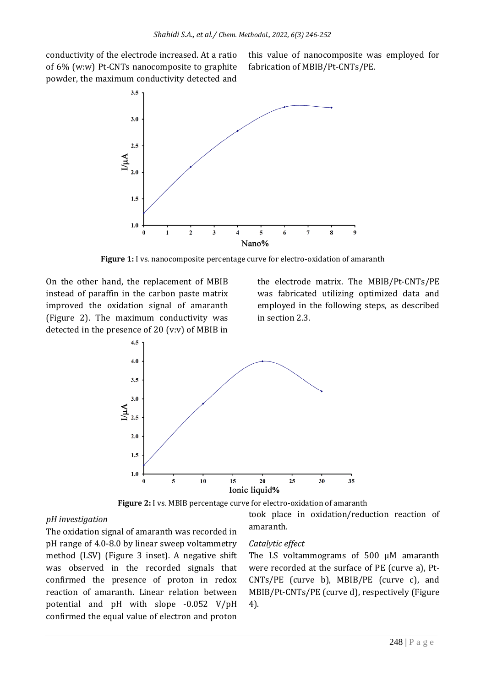conductivity of the electrode increased. At a ratio of 6% (w:w) Pt-CNTs nanocomposite to graphite powder, the maximum conductivity detected and

this value of nanocomposite was employed for fabrication of MBIB/Pt-CNTs/PE.



**Figure 1:** I vs. nanocomposite percentage curve for electro-oxidation of amaranth

On the other hand, the replacement of MBIB instead of paraffin in the carbon paste matrix improved the oxidation signal of amaranth (Figure 2). The maximum conductivity was detected in the presence of 20 (v:v) of MBIB in

the electrode matrix. The MBIB/Pt-CNTs/PE was fabricated utilizing optimized data and employed in the following steps, as described in section 2.3.





#### *pH investigation*

The oxidation signal of amaranth was recorded in pH range of 4.0-8.0 by linear sweep voltammetry method (LSV) (Figure 3 inset). A negative shift was observed in the recorded signals that confirmed the presence of proton in redox reaction of amaranth. Linear relation between potential and pH with slope -0.052 V/pH confirmed the equal value of electron and proton

#### *Catalytic effect*

amaranth.

The LS voltammograms of 500  $\mu$ M amaranth were recorded at the surface of PE (curve a), Pt-CNTs/PE (curve b), MBIB/PE (curve c), and MBIB/Pt-CNTs/PE (curve d), respectively (Figure 4).

took place in oxidation/reduction reaction of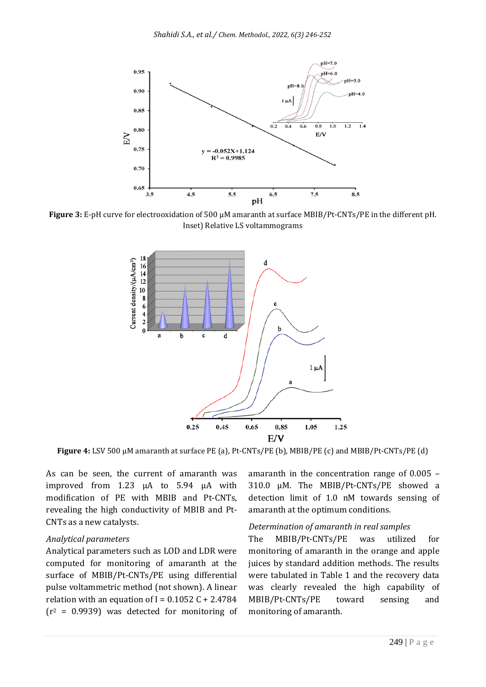

**Figure 3:** E-pH curve for electrooxidation of 500 µM amaranth at surface MBIB/Pt-CNTs/PE in the different pH. Inset) Relative LS voltammograms



**Figure 4:** LSV 500 µM amaranth at surface PE (a), Pt-CNTs/PE (b), MBIB/PE (c) and MBIB/Pt-CNTs/PE (d)

As can be seen, the current of amaranth was improved from 1.23 µA to 5.94 µA with modification of PE with MBIB and Pt-CNTs, revealing the high conductivity of MBIB and Pt-CNTs as a new catalysts.

#### *Analytical parameters*

Analytical parameters such as LOD and LDR were computed for monitoring of amaranth at the surface of MBIB/Pt-CNTs/PE using differential pulse voltammetric method (not shown). A linear relation with an equation of I =  $0.1052$  C + 2.4784  $(r^2 = 0.9939)$  was detected for monitoring of amaranth in the concentration range of 0.005 – 310.0 µM. The MBIB/Pt-CNTs/PE showed a detection limit of 1.0 nM towards sensing of amaranth at the optimum conditions.

#### *Determination of amaranth in real samples*

The MBIB/Pt-CNTs/PE was utilized for monitoring of amaranth in the orange and apple juices by standard addition methods. The results were tabulated in Table 1 and the recovery data was clearly revealed the high capability of MBIB/Pt-CNTs/PE toward sensing and monitoring of amaranth.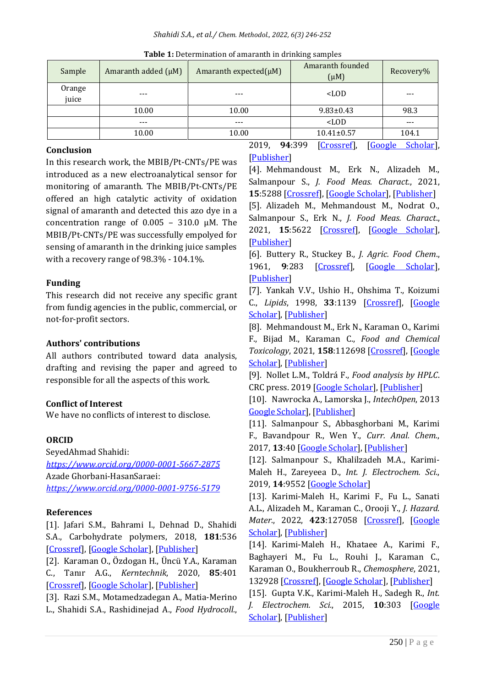| Sample          | Amaranth added $(\mu M)$ | Amaranth expected $(\mu M)$ | Amaranth founded<br>$(\mu M)$ | Recovery% |
|-----------------|--------------------------|-----------------------------|-------------------------------|-----------|
| Orange<br>juice | $--$                     | $- - -$                     | $<$ LOD                       |           |
|                 | 10.00                    | 10.00                       | $9.83 \pm 0.43$               | 98.3      |
|                 | $--$                     | $- - -$                     | $<$ LOD                       | ---       |
|                 | 10.00                    | 10.00                       | $10.41 \pm 0.57$              | 104.1     |

**Table 1:** Determination of amaranth in drinking samples

#### **Conclusion**

In this research work, the MBIB/Pt-CNTs/PE was introduced as a new electroanalytical sensor for monitoring of amaranth. The MBIB/Pt-CNTs/PE offered an high catalytic activity of oxidation signal of amaranth and detected this azo dye in a concentration range of  $0.005 - 310.0 \mu M$ . The MBIB/Pt-CNTs/PE was successfully empolyed for sensing of amaranth in the drinking juice samples with a recovery range of 98.3% - 104.1%.

# **Funding**

This research did not receive any specific grant from fundig agencies in the public, commercial, or not-for-profit sectors.

#### **Authors' contributions**

All authors contributed toward data analysis, drafting and revising the paper and agreed to responsible for all the aspects of this work.

# **Conflict of Interest**

We have no conflicts of interest to disclose.

# **ORCID**

SeyedAhmad Shahidi: *<https://www.orcid.org/0000-0001-5667-2875>* Azade Ghorbani-HasanSaraei: *<https://www.orcid.org/0000-0001-9756-5179>*

# **References**

[1]. Jafari S.M., Bahrami I., Dehnad D., Shahidi S.A., Carbohydrate polymers, 2018, **181**:536 [\[Crossref\]](https://doi.org/10.1016/j.carbpol.2017.12.008), [\[Google Scholar\]](https://scholar.google.com/scholar?hl=en&as_sdt=0%2C5&q=The+influence+of+nanocellulose+coating+on+saffron+quality+during+storage.+&btnG=), [\[Publisher\]](https://www.sciencedirect.com/science/article/abs/pii/S0144861717314054)

[2]. Karaman O., Özdogan H., Üncü Y.A., Karaman C., Tanır A.G., *Kerntechnik*, 2020, **85**:401 [\[Crossref\]](https://doi.org/10.3139/124.200022), [\[Google Scholar\]](https://scholar.google.com/scholar?hl=en&as_sdt=0%2C5&q=Investigation+of+the+effects+of+different+composite+materials+on+neutron+contamination+caused+by+medical+LINAC+%2F+Untersuchung+der+Auswirkungen+verschiedener+Verbundmaterialien+auf+die+Neutronenkontamination+durch+medizinische+LINAC&btnG=), [\[Publisher\]](https://www.degruyter.com/document/doi/10.3139/124.200022/html)

[3]. Razi S.M., Motamedzadegan A., Matia-Merino L., Shahidi S.A., Rashidinejad A., *Food Hydrocoll.*, 2019, **94**:399 [\[Crossref\]](https://doi.org/10.1016/j.foodhyd.2019.03.029), [\[Google Scholar\]](https://scholar.google.com/scholar?hl=en&as_sdt=0%2C5&q=The+effect+of+pH+and+high-pressure+processing+%28HPP%29+on+the+rheological+properties+of+egg+white+albumin+and+basil+seed+gum+mixtures&btnG=), [\[Publisher\]](https://www.sciencedirect.com/science/article/abs/pii/S0268005X18323105)

[4]. Mehmandoust M., Erk N., Alizadeh M., Salmanpour S., *J. Food Meas. Charact.*, 2021, **15**:5288 [\[Crossref\]](https://doi.org/10.1007/s11694-021-01100-8), [\[Google Scholar\]](https://scholar.google.com/scholar?hl=en&as_sdt=0%2C5&q=Voltammetric+carbon+nanotubes+based+sensor+for+determination+of+tryptophan+in+the+milk+sample.+&btnG=), [\[Publisher\]](https://link.springer.com/article/10.1007/s11694-021-01100-8#citeas)

[5]. Alizadeh M., Mehmandoust M., Nodrat O., Salmanpour S., Erk N., *J. Food Meas. Charact*., 2021, **15**:5622 [\[Crossref\]](https://doi.org/10.1007/s11694-021-01128-w), [\[Google Scholar\]](https://scholar.google.com/scholar?hl=en&as_sdt=0%2C5&q=A+glassy+carbon+electrode+modified+based+on+molybdenum+disulfide+for+determination+of+folic+acid+in+the+real+samples.&btnG=), [\[Publisher\]](https://link.springer.com/article/10.1007/s11694-021-01128-w)

[6]. Buttery R., Stuckey B., *J. Agric. Food Chem*., 1961, **9**:283 [\[Crossref\]](https://doi.org/10.1021/jf60116a012), [\[Google Scholar\]](https://scholar.google.com/scholar?hl=en&as_sdt=0%2C5&q=Food+Antioxidants%2C+Determination+of+Butylated+Hydroxyanisole+and+Butylated+Hydroxytoluene+in+Potato+Granules+by+Gas-Liquid+Chromatography.+&btnG=), [\[Publisher\]](https://pubs.acs.org/doi/pdf/10.1021/jf60116a012)

[7]. Yankah V.V., Ushio H., Ohshima T., Koizumi C., *Lipids*, 1998, **33**:1139 [\[Crossref\]](https://doi.org/10.1007/s11745-998-0316-5), [\[Google](https://scholar.google.com/scholar?hl=en&as_sdt=0%2C5&q=Quantitative+determination+of+butylated+hydroxyanisole%2C+butylated+hydroxytoluene%2C+and+tert-butyl+hydroquinone+in+oils%2C+foods%2C+and+biological+fluids+by+high-performance+liquid+chromatography+with+fluorometric+detection.+&btnG=)  [Scholar\]](https://scholar.google.com/scholar?hl=en&as_sdt=0%2C5&q=Quantitative+determination+of+butylated+hydroxyanisole%2C+butylated+hydroxytoluene%2C+and+tert-butyl+hydroquinone+in+oils%2C+foods%2C+and+biological+fluids+by+high-performance+liquid+chromatography+with+fluorometric+detection.+&btnG=), [\[Publisher\]](https://link.springer.com/article/10.1007/s11745-998-0316-5)

[8]. Mehmandoust M., Erk N., Karaman O., Karimi F., Bijad M., Karaman C., *Food and Chemical Toxicology*, 2021, **158**:112698 [\[Crossref\]](https://doi.org/10.1016/j.fct.2021.112698), [\[Google](https://scholar.google.com/scholar?hl=en&as_sdt=0%2C5&q=Three-dimensional+porous+reduced+graphene+oxide+decorated+with+carbon+quantum+dots+and+platinum+nanoparticles+for+highly+selective+determination+of+azo+dye+compound+tartrazine.+&btnG=)  [Scholar\]](https://scholar.google.com/scholar?hl=en&as_sdt=0%2C5&q=Three-dimensional+porous+reduced+graphene+oxide+decorated+with+carbon+quantum+dots+and+platinum+nanoparticles+for+highly+selective+determination+of+azo+dye+compound+tartrazine.+&btnG=), [\[Publisher\]](https://www.sciencedirect.com/science/article/abs/pii/S0278691521007316)

[9]. Nollet L.M., Toldrá F., *Food analysis by HPLC*. CRC press. 2019 [\[Google Scholar\]](https://scholar.google.com/scholar?hl=en&as_sdt=0%2C5&q=Food+analysis+by+HPLC%2C+LML+Nollet%2C+F+Toldr%C3%A1+-+2019&btnG=), [\[Publisher\]](https://api.taylorfrancis.com/content/books/mono/download?identifierName=doi&identifierValue=10.1201/b13024&type=googlepdf)

[10]. Nawrocka A., Lamorska J., *IntechOpen*, 2013 [Google Scholar\]](https://scholar.google.com/scholar?hl=en&as_sdt=0%2C5&q=Determination+of+food+quality+by+using+spectroscopic+methods.&btnG=), [\[Publisher\]](https://books.google.com/books?hl=en&lr=&id=PEueDwAAQBAJ&oi=fnd&pg=PA347&dq=Determination+of+food+quality+by+using+spectroscopic+methods.&ots=R_V3l7YN4U&sig=hARoqfzp2MU6gc-F4gA-w5usQ3c#v=onepage&q=Determination%20of%20food%20quality%20by%20using%20spectroscopic%20methods.&f=false)

[11]. Salmanpour S., Abbasghorbani M., Karimi F., Bavandpour R., Wen Y., *Curr. Anal. Chem.*, 2017, **13**:40 [\[Google Scholar\]](https://scholar.google.com/scholar?hl=en&as_sdt=0%2C5&q=Electrocatalytic+determination+of+cysteamine+uses+a+nanostructure+based+electrochemical+sensor+in+pharmaceutical+samples.&btnG=), [\[Publisher\]](https://www.ingentaconnect.com/contentone/ben/cac/2017/00000013/00000001/art00009)

[12]. Salmanpour S., Khalilzadeh M.A., Karimi-Maleh H., Zareyeea D., *Int. J. Electrochem. Sci.*, 2019, **14**:9552 [\[Google Scholar\]](https://scholar.google.com/scholar?hl=en&as_sdt=0%2C5&q=An+Electrochemical+Sensitive+Sensor+for+Determining+Sulfamethoxazole+Using+a+Modified+Electrode+Based+on+Biosynthesized+NiO+Nanoparticles+Paste+Electrode.+&btnG=)

[13]. Karimi-Maleh H., Karimi F., Fu L., Sanati A.L., Alizadeh M., Karaman C., Orooji Y., *J. Hazard. Mater.*, 2022, **423**:127058 [\[Crossref\]](https://doi.org/10.1016/j.jhazmat.2021.127058), [\[Google](https://scholar.google.com/scholar?hl=en&as_sdt=0%2C5&q=Cyanazine+herbicide+monitoring+as+a+hazardous+substance+by+a+DNA+nanostructure+biosensor&btnG=)  [Scholar\]](https://scholar.google.com/scholar?hl=en&as_sdt=0%2C5&q=Cyanazine+herbicide+monitoring+as+a+hazardous+substance+by+a+DNA+nanostructure+biosensor&btnG=), [\[Publisher\]](https://www.sciencedirect.com/science/article/abs/pii/S0304389421020264)

[14]. Karimi-Maleh H., Khataee A., Karimi F., Baghayeri M., Fu L., Rouhi J., Karaman C., Karaman O., Boukherroub R., *Chemosphere*, 2021, 132928 [\[Crossref\]](https://doi.org/10.1016/j.chemosphere.2021.132928), [\[Google Scholar\]](https://scholar.google.com/scholar?hl=en&as_sdt=0%2C5&q=A+green+and+sensitive+guanine-based+DNA+biosensor+for+idarubicin+anticancer+monitoring+in+biological+samples%3A+A+simple+and+fast+strategy+for+control+of+health+quality+in+chemotherapy+procedure+confirmed+by+docking+investigation&btnG=), [\[Publisher\]](https://www.sciencedirect.com/science/article/abs/pii/S0045653521034007)

[15]. Gupta V.K., Karimi-Maleh H., Sadegh R., *Int. J. Electrochem. Sci.*, 2015, **10**:303 [\[Google](https://scholar.google.com/scholar?hl=en&as_sdt=0%2C5&q=Simultaneous+determination+of+hydroxylamine%2C+phenol+and+sulfite+in+water+and+waste+water+samples+using+a+voltammetric+nanosensor.+&btnG=)  [Scholar\]](https://scholar.google.com/scholar?hl=en&as_sdt=0%2C5&q=Simultaneous+determination+of+hydroxylamine%2C+phenol+and+sulfite+in+water+and+waste+water+samples+using+a+voltammetric+nanosensor.+&btnG=), [\[Publisher\]](https://www.researchgate.net/profile/Hassan-Karimi-Maleh/publication/269696660_Simultaneous_Determination_of_Hydroxylamine_Phenol_and_Sulfite_in_Water_and_Waste_Water_Samples_Using_A_Voltammetric_Nanosensor/links/5492c0480cf209fc7e9f7e1d/Simultaneous-Determination-of-Hydroxylamine-Phenol-and-Sulfite-in-Water-and-Waste-Water-Samples-Using-A-Voltammetric-Nanosensor.pdf)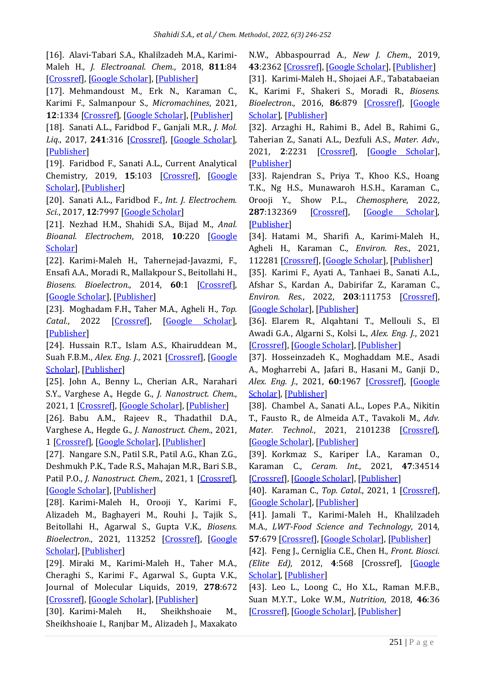[16]. Alavi-Tabari S.A., Khalilzadeh M.A., Karimi-Maleh H., *J. Electroanal. Chem.*, 2018, **811**:84 [\[Crossref\]](https://doi.org/10.1016/j.jelechem.2018.01.034), [\[Google Scholar\]](https://scholar.google.com/scholar?hl=en&as_sdt=0%2C5&q=Simultaneous+determination+of+doxorubicin+and+dasatinib+as+two+breast+anticancer+drugs+uses+an+amplified+sensor+with+ionic+liquid+and+ZnO+nanoparticle.&btnG=), [\[Publisher\]](https://www.sciencedirect.com/science/article/abs/pii/S1572665718300444)

[17]. Mehmandoust M., Erk N., Karaman C., Karimi F., Salmanpour S., *Micromachines*, 2021, **12**:1334 [\[Crossref\]](https://doi.org/10.3390/mi12111334), [\[Google Scholar\]](https://scholar.google.com/scholar?hl=en&as_sdt=0%2C5&q=Sensitive+and+selective+electrochemical+detection+of+epirubicin+as+anticancer+drug+based+on+nickel+ferrite+decorated+with+gold+nanoparticles.&btnG=), [\[Publisher\]](https://www.mdpi.com/2072-666X/12/11/1334)

[18]. Sanati A.L., Faridbod F., Ganjali M.R., *J. Mol. Liq.*, 2017, **241**:316 [\[Crossref\]](https://doi.org/10.1016/j.molliq.2017.04.123), [\[Google Scholar\]](https://scholar.google.com/scholar?hl=en&as_sdt=0%2C5&q=Synergic+effect+of+graphene+quantum+dots+and+room+temperature+ionic+liquid+for+the+fabrication+of+highly+sensitive+voltammetric+sensor+for+levodopa+determination+in+the+presence+of+serotonin&btnG=), [\[Publisher\]](https://www.sciencedirect.com/science/article/abs/pii/S0167732217305718)

[19]. Faridbod F., Sanati A.L., Current Analytical Chemistry, 2019, **15**:103 [\[Crossref\]](https://doi.org/10.2174/1573411014666180319145506), [\[Google](https://scholar.google.com/scholar?hl=en&as_sdt=0%2C5&q=Graphene+Quantum+Dots+in+Electrochemical+Sensors%2FBiosensors&btnG=)  [Scholar\]](https://scholar.google.com/scholar?hl=en&as_sdt=0%2C5&q=Graphene+Quantum+Dots+in+Electrochemical+Sensors%2FBiosensors&btnG=), [\[Publisher\]](https://www.ingentaconnect.com/content/ben/cac/2019/00000015/00000002/art00004)

[20]. Sanati A.L., Faridbod F., *Int. J. Electrochem. Sci.*, 2017, **12**:7997 [\[Google Scholar\]](https://scholar.google.com/scholar?hl=en&as_sdt=0%2C5&q=Electrochemical+determination+of+methyldopa+by+graphene+quantum+dot%2F1-butyl-3-methylimidazolium+hexafluoro+phosphate+nanocomposite+electrode.+&btnG=)

[21]. Nezhad H.M., Shahidi S.A., Bijad M., *Anal. Bioanal. Electrochem*, 2018, **10**:220 [\[Google](https://scholar.google.com/scholar?hl=en&as_sdt=0%2C5&q=Fabrication+of+a+Nanostructure+Voltammetric+Sensor+for+Carmoisine+Analysis+as+a+Food+Dye+Additive&btnG=)  [Scholar\]](https://scholar.google.com/scholar?hl=en&as_sdt=0%2C5&q=Fabrication+of+a+Nanostructure+Voltammetric+Sensor+for+Carmoisine+Analysis+as+a+Food+Dye+Additive&btnG=)

[22]. Karimi-Maleh H., Tahernejad-Javazmi, F., Ensafi A.A., Moradi R., Mallakpour S., Beitollahi H., *Biosens. Bioelectron.*, 2014, **60**:1 [\[Crossref\]](https://doi.org/10.1016/j.bios.2014.03.055), [\[Google Scholar\]](https://scholar.google.com/scholar?hl=en&as_sdt=0%2C5&q=A+high+sensitive+biosensor+based+on+FePt%2FCNTs+nanocomposite%2FN-%284-hydroxyphenyl%29-3%2C+5-dinitrobenzamide+modified+carbon+paste+electrode+for+simultaneous+determination+of+glutathione+and+piroxicam&btnG=), [\[Publisher\]](https://www.sciencedirect.com/science/article/abs/pii/S095656631400236X)

[23]. Moghadam F.H., Taher M.A., Agheli H., *Top.* Catal., 2022 [\[Crossref\]](https://doi.org/10.1007/s11244-021-01509-x), [\[Google Scholar\]](https://scholar.google.com/scholar?hl=en&as_sdt=0%2C5&q=Electroanalytical+Monitoring+of+Glutathione+in+Biological+Fluids+Using+Novel+Pt%2FSWCNTs-Ionic+Liquid+Amplified+Sensor&btnG=), [\[Publisher\]](https://link.springer.com/article/10.1007%2Fs11244-021-01509-x)

[24]. Hussain R.T., Islam A.S., Khairuddean M., Suah F.B.M., *Alex. Eng. J.*, 2021 [\[Crossref\]](https://doi.org/10.1016/j.aej.2021.09.040), [\[Google](https://scholar.google.com/scholar?hl=en&as_sdt=0%2C5&q=A+polypyrrole%2FGO%2FZnO+nanocomposite+modified+pencil+graphite+electrode+for+the+determination+of+andrographolide+in+aqueous+samples&btnG=)  [Scholar\]](https://scholar.google.com/scholar?hl=en&as_sdt=0%2C5&q=A+polypyrrole%2FGO%2FZnO+nanocomposite+modified+pencil+graphite+electrode+for+the+determination+of+andrographolide+in+aqueous+samples&btnG=), [\[Publisher\]](https://www.sciencedirect.com/science/article/pii/S1110016821006426)

[25]. John A., Benny L., Cherian A.R., Narahari S.Y., Varghese A., Hegde G., *J. Nanostruct. Chem.*, 2021, 1 [\[Crossref\]](https://doi.org/10.1007/s40097-020-00372-8), [\[Google Scholar\]](https://scholar.google.com/scholar?hl=en&as_sdt=0%2C5&q=Electrochemical+sensors+using+conducting+polymer%2Fnoble+metal+nanoparticle+nanocomposites+for+the+detection+of+various+analytes%3A+a+review.+&btnG=), [\[Publisher\]](https://link.springer.com/article/10.1007/s40097-020-00372-8)

[26]. Babu A.M., Rajeev R., Thadathil D.A., Varghese A., Hegde G., *J. Nanostruct. Chem.*, 2021, 1 [\[Crossref\]](https://doi.org/10.1007/s40097-021-00459-w), [\[Google Scholar\]](https://scholar.google.com/scholar?hl=en&as_sdt=0%2C5&q=Surface+modulation+and+structural+engineering+of+graphitic+carbon+nitride+for+electrochemical+sensing+applications.&btnG=), [\[Publisher\]](https://link.springer.com/article/10.1007/s40097-021-00459-w)

[27]. Nangare S.N., Patil S.R., Patil A.G., Khan Z.G., Deshmukh P.K., Tade R.S., Mahajan M.R., Bari S.B., Patil P.O., *J. Nanostruct. Chem*., 2021, 1 [\[Crossref\]](https://doi.org/10.1007/s40097-021-00449-y), [\[Google Scholar\]](https://scholar.google.com/scholar?hl=en&as_sdt=0%2C5&q=Structural+design+of+nanosize-metal%E2%80%93organic+framework-based+sensors+for+detection+of+organophosphorus+pesticides+in+food+and+water+samples%3A+current+challenges+and+future+prospects.&btnG=), [\[Publisher\]](https://link.springer.com/article/10.1007/s40097-021-00449-y)

[28]. Karimi-Maleh H., Orooji Y., Karimi F., Alizadeh M., Baghayeri M., Rouhi J., Tajik S., Beitollahi H., Agarwal S., Gupta V.K., *Biosens. Bioelectron.*, 2021, 113252 [\[Crossref\]](https://doi.org/10.1016/j.bios.2021.113252), [\[Google](https://scholar.google.com/scholar?hl=en&as_sdt=0%2C5&q=A+critical+review+on+the+use+of+potentiometric+based+biosensors+for+biomarkers+detection.+&btnG=)  [Scholar\]](https://scholar.google.com/scholar?hl=en&as_sdt=0%2C5&q=A+critical+review+on+the+use+of+potentiometric+based+biosensors+for+biomarkers+detection.+&btnG=), [\[Publisher\]](https://www.sciencedirect.com/science/article/abs/pii/S095656632100289X)

[29]. Miraki M., Karimi-Maleh H., Taher M.A., Cheraghi S., Karimi F., Agarwal S., Gupta V.K., Journal of Molecular Liquids, 2019, **278**:672 [\[Crossref\]](https://doi.org/10.1016/j.molliq.2019.01.081), [\[Google Scholar\]](https://scholar.google.com/scholar?hl=en&as_sdt=0%2C5&q=Voltammetric+amplified+platform+based+on+ionic+liquid%2FNiO+nanocomposite+for+determination+of+benserazide+and+levodopa.+&btnG=), [\[Publisher\]](https://www.sciencedirect.com/science/article/abs/pii/S0167732218362214)

[30]. Karimi-Maleh H., Sheikhshoaie M., Sheikhshoaie I., Ranjbar M., Alizadeh J., Maxakato N.W., Abbaspourrad A., *New J. Chem.*, 2019, **43**:2362 [\[Crossref\]](https://doi.org/10.1039/C8NJ05581E), [\[Google Scholar\]](https://scholar.google.com/scholar?hl=en&as_sdt=0%2C5&q=A+novel+electrochemical+epinine+sensor+using+amplified+CuO+nanoparticles+and+an-hexyl-3-methylimidazolium+hexafluorophosphate+electrode.+&btnG=), [\[Publisher\]](https://pubs.rsc.org/en/content/articlelanding/2019/nj/c8nj05581e/unauth)

[31]. Karimi-Maleh H., Shojaei A.F., Tabatabaeian K., Karimi F., Shakeri S., Moradi R., *Biosens. Bioelectron.*, 2016, **86**:879 [\[Crossref\]](https://doi.org/10.1016/j.bios.2016.07.086), [\[Google](https://scholar.google.com/scholar?hl=en&as_sdt=0%2C5&q=Simultaneous+determination+of+6-mercaptopruine%2C+6-thioguanine+and+dasatinib+as+three+important+anticancer+drugs+using+nanostructure+voltammetric+sensor+employing+Pt%2FMWCNTs+and+1-butyl-3-methylimidazolium+hexafluoro+phosphate.+&btnG=)  [Scholar\]](https://scholar.google.com/scholar?hl=en&as_sdt=0%2C5&q=Simultaneous+determination+of+6-mercaptopruine%2C+6-thioguanine+and+dasatinib+as+three+important+anticancer+drugs+using+nanostructure+voltammetric+sensor+employing+Pt%2FMWCNTs+and+1-butyl-3-methylimidazolium+hexafluoro+phosphate.+&btnG=), [\[Publisher\]](https://www.sciencedirect.com/science/article/abs/pii/S0956566316307138)

[32]. Arzaghi H., Rahimi B., Adel B., Rahimi G., Taherian Z., Sanati A.L., Dezfuli A.S., *Mater. Adv.*, 2021, **2**:2231 [\[Crossref\]](https://doi.org/10.1039/D0MA00957A), [\[Google Scholar\]](https://scholar.google.com/scholar?hl=en&as_sdt=0%2C5&q=Nanomaterials+modulating+stem+cells+behavior+towards+cardiovascular+cell+linage&btnG=), [\[Publisher\]](https://pubs.rsc.org/en/content/articlehtml/2021/ma/d0ma00957a)

[33]. Rajendran S., Priya T., Khoo K.S., Hoang T.K., Ng H.S., Munawaroh H.S.H., Karaman C., Orooji Y., Show P.L., *Chemosphere*, 2022, **287**:132369 [\[Crossref\]](https://doi.org/10.1016/j.chemosphere.2021.132369), [\[Google Scholar\]](https://scholar.google.com/scholar?hl=en&as_sdt=0%2C5&q=A+critical+review+on+various+remediation+approaches+for+heavy+metal+contaminants+removal+from+contaminated+soils&btnG=), [\[Publisher\]](https://www.sciencedirect.com/science/article/abs/pii/S0045653521028411)

[34]. Hatami M., Sharifi A., Karimi-Maleh H., Agheli H., Karaman C., *Environ. Res.*, 2021, 112281 [\[Crossref\]](https://doi.org/10.1016/j.envres.2021.112281), [\[Google Scholar\]](https://scholar.google.com/scholar?hl=en&as_sdt=0%2C5&q=Simultaneous+improvements+in+antibacterial+and+flame+retardant+properties+of+PET+by+use+of+bio-nanotechnology+for+fabrication+of+high+performance+PET+bionanocomposites.+&btnG=), [\[Publisher\]](https://www.sciencedirect.com/science/article/abs/pii/S0013935121015826)

[35]. Karimi F., Ayati A., Tanhaei B., Sanati A.L., Afshar S., Kardan A., Dabirifar Z., Karaman C., *Environ. Res.*, 2022, **203**:111753 [\[Crossref\]](https://doi.org/10.1016/j.envres.2021.111753), [\[Google Scholar\]](https://scholar.google.com/scholar?hl=en&as_sdt=0%2C5&q=Removal+of+metal+ions+using+a+new+magnetic+chitosan+nano-bio-adsorbent%3B+A+powerful+approach+in+water+treatment&btnG=), [\[Publisher\]](https://www.sciencedirect.com/science/article/abs/pii/S0013935121010471)

[36]. Elarem R., Alqahtani T., Mellouli S., El Awadi G.A., Algarni S., Kolsi L., *Alex. Eng. J.*, 2021 [\[Crossref\]](https://doi.org/10.1016/j.aej.2021.12.046), [\[Google Scholar\]](https://scholar.google.com/scholar?hl=en&as_sdt=0%2C5&q=Experimental+investigations+on+thermophysical+properties+of+nano-enhanced+phase+change+materials+for+thermal+energy+storage+applications&btnG=), [\[Publisher\]](https://www.sciencedirect.com/science/article/pii/S1110016821008565)

[37]. Hosseinzadeh K., Moghaddam M.E., Asadi A., Mogharrebi A., Jafari B., Hasani M., Ganji D., *Alex. Eng. J.*, 2021, **60**:1967 [\[Crossref\]](https://doi.org/10.1016/j.aej.2020.12.001), [\[Google](https://scholar.google.com/scholar?hl=en&as_sdt=0%2C5&q=Effect+of+two+different+fins+%28longitudinal-tree+like%29+and+hybrid+nano-particles+%28MoS2-TiO2%29+on+solidification+process+in+triplex+latent+heat+thermal+energy+storage+system&btnG=)  [Scholar\]](https://scholar.google.com/scholar?hl=en&as_sdt=0%2C5&q=Effect+of+two+different+fins+%28longitudinal-tree+like%29+and+hybrid+nano-particles+%28MoS2-TiO2%29+on+solidification+process+in+triplex+latent+heat+thermal+energy+storage+system&btnG=), [\[Publisher\]](https://www.sciencedirect.com/science/article/pii/S1110016820306268)

[38]. Chambel A., Sanati A.L., Lopes P.A., Nikitin T., Fausto R., de Almeida A.T., Tavakoli M., *Adv. Mater. Technol.*, 2021, 2101238 [\[Crossref\]](https://doi.org/10.1002/admt.202101238), [\[Google Scholar\]](https://scholar.google.com/scholar?hl=en&as_sdt=0%2C5&q=Laser+Writing+of+Eutectic+Gallium%E2%80%93Indium+Alloy+Graphene%E2%80%90Oxide+Electrodes+and+Semitransparent+Conductors&btnG=), [\[Publisher\]](https://onlinelibrary.wiley.com/doi/abs/10.1002/admt.202101238)

[39]. Korkmaz S., Kariper İ.A., Karaman O., Karaman C., *Ceram. Int.*, 2021, **47**:34514 [\[Crossref\]](https://doi.org/10.1016/j.ceramint.2021.08.366), [\[Google Scholar\]](https://scholar.google.com/scholar?hl=en&as_sdt=0%2C5&q=The+production+of+rGO%2FRuO2+aerogel+supercapacitor+and+analysis+of+its+electrochemical+performances&btnG=), [\[Publisher\]](https://www.sciencedirect.com/science/article/pii/S0272884221027693)

[40]. Karaman C., *Top. Catal.*, 2021, 1 [\[Crossref\]](https://doi.org/10.1007/s11244-021-01500-6), [\[Google Scholar\]](https://scholar.google.com/scholar?hl=en&as_sdt=0%2C5&q=Boosting+effect+of+nitrogen+and+phosphorous+Co-doped+three-dimensional+graphene+architecture%3A+highly+selective+electrocatalysts+for+carbon+dioxide+electroreduction+to+formate&btnG=), [\[Publisher\]](https://link.springer.com/article/10.1007/s11244-021-01500-6)

[41]. Jamali T., Karimi-Maleh H., Khalilzadeh M.A., *LWT-Food Science and Technology*, 2014, **57**:679 [\[Crossref\]](https://doi.org/10.1016/j.lwt.2014.01.023), [\[Google Scholar\]](https://scholar.google.com/scholar?hl=en&as_sdt=0%2C5&q=A+novel+nanosensor+based+on+Pt%3A+Co+nanoalloy+ionic+liquid+carbon+paste+electrode+for+voltammetric+determination+of+vitamin+B9+in+food+samples&btnG=), [\[Publisher\]](https://www.sciencedirect.com/science/article/pii/S0023643814000401)

[42]. Feng J., Cerniglia C.E., Chen H., *Front. Biosci. (Elite Ed)*, 2012, **4**:568 [Crossref], [\[Google](https://scholar.google.com/scholar?hl=en&as_sdt=0%2C5&q=Toxicological+significance+of+azo+dye+metabolism+by+human+intestinal+microbiota&btnG=)  [Scholar\]](https://scholar.google.com/scholar?hl=en&as_sdt=0%2C5&q=Toxicological+significance+of+azo+dye+metabolism+by+human+intestinal+microbiota&btnG=), [\[Publisher\]](https://www.ncbi.nlm.nih.gov/pmc/articles/PMC5870118/)

[43]. Leo L., Loong C., Ho X.L., Raman M.F.B., Suan M.Y.T., Loke W.M., *Nutrition*, 2018, **46**:36 [\[Crossref\]](https://doi.org/10.1016/j.nut.2017.08.010), [\[Google Scholar\]](https://scholar.google.com/scholar?hl=en&as_sdt=0%2C5&q=Occurrence+of+azo+food+dyes+and+their+effects+on+cellular+inflammatory+responses&btnG=), [\[Publisher\]](https://www.sciencedirect.com/science/article/abs/pii/S0899900717301922)